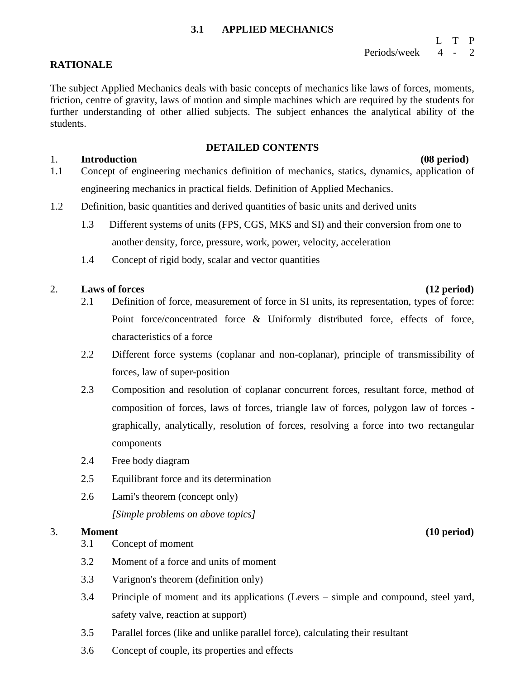#### **3.1 APPLIED MECHANICS**

### L T P Periods/week 4 - 2

### **RATIONALE**

The subject Applied Mechanics deals with basic concepts of mechanics like laws of forces, moments, friction, centre of gravity, laws of motion and simple machines which are required by the students for further understanding of other allied subjects. The subject enhances the analytical ability of the students.

#### **DETAILED CONTENTS**

### 1. **Introduction (08 period)**

- 1.1 Concept of engineering mechanics definition of mechanics, statics, dynamics, application of engineering mechanics in practical fields. Definition of Applied Mechanics.
- 1.2 Definition, basic quantities and derived quantities of basic units and derived units
	- 1.3 Different systems of units (FPS, CGS, MKS and SI) and their conversion from one to another density, force, pressure, work, power, velocity, acceleration
	- 1.4 Concept of rigid body, scalar and vector quantities

### 2. **Laws of forces (12 period)**

- 2.1 Definition of force, measurement of force in SI units, its representation, types of force: Point force/concentrated force & Uniformly distributed force, effects of force, characteristics of a force
- 2.2 Different force systems (coplanar and non-coplanar), principle of transmissibility of forces, law of super-position
- 2.3 Composition and resolution of coplanar concurrent forces, resultant force, method of composition of forces, laws of forces, triangle law of forces, polygon law of forces graphically, analytically, resolution of forces, resolving a force into two rectangular components
- 2.4 Free body diagram
- 2.5 Equilibrant force and its determination
- 2.6 Lami's theorem (concept only)
	- *[Simple problems on above topics]*

### 3. **Moment (10 period)**

- 3.1 Concept of moment
- 3.2 Moment of a force and units of moment
- 3.3 Varignon's theorem (definition only)
- 3.4 Principle of moment and its applications (Levers simple and compound, steel yard, safety valve, reaction at support)
- 3.5 Parallel forces (like and unlike parallel force), calculating their resultant
- 3.6 Concept of couple, its properties and effects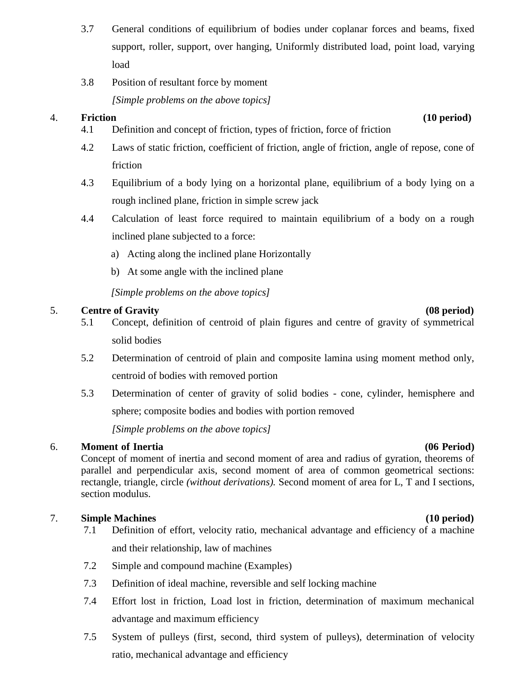- 3.7 General conditions of equilibrium of bodies under coplanar forces and beams, fixed support, roller, support, over hanging, Uniformly distributed load, point load, varying load
- 3.8 Position of resultant force by moment *[Simple problems on the above topics]*

## 4. **Friction (10 period)**

- 4.1 Definition and concept of friction, types of friction, force of friction
- 4.2 Laws of static friction, coefficient of friction, angle of friction, angle of repose, cone of friction
- 4.3 Equilibrium of a body lying on a horizontal plane, equilibrium of a body lying on a rough inclined plane, friction in simple screw jack
- 4.4 Calculation of least force required to maintain equilibrium of a body on a rough inclined plane subjected to a force:
	- a) Acting along the inclined plane Horizontally
	- b) At some angle with the inclined plane

*[Simple problems on the above topics]*

### 5. **Centre of Gravity (08 period)**

- 5.1 Concept, definition of centroid of plain figures and centre of gravity of symmetrical solid bodies
- 5.2 Determination of centroid of plain and composite lamina using moment method only, centroid of bodies with removed portion
- 5.3 Determination of center of gravity of solid bodies cone, cylinder, hemisphere and sphere; composite bodies and bodies with portion removed

*[Simple problems on the above topics]*

### 6. **Moment of Inertia (06 Period)**

Concept of moment of inertia and second moment of area and radius of gyration, theorems of parallel and perpendicular axis, second moment of area of common geometrical sections: rectangle, triangle, circle *(without derivations).* Second moment of area for L, T and I sections, section modulus.

### 7. **Simple Machines (10 period)**

- 7.1 Definition of effort, velocity ratio, mechanical advantage and efficiency of a machine and their relationship, law of machines
- 7.2 Simple and compound machine (Examples)
- 7.3 Definition of ideal machine, reversible and self locking machine
- 7.4 Effort lost in friction, Load lost in friction, determination of maximum mechanical advantage and maximum efficiency
- 7.5 System of pulleys (first, second, third system of pulleys), determination of velocity ratio, mechanical advantage and efficiency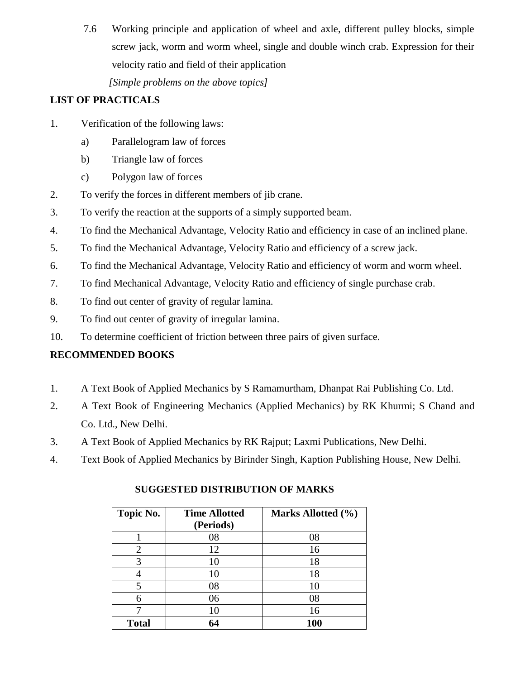7.6 Working principle and application of wheel and axle, different pulley blocks, simple screw jack, worm and worm wheel, single and double winch crab. Expression for their velocity ratio and field of their application

*[Simple problems on the above topics]*

# **LIST OF PRACTICALS**

- 1. Verification of the following laws:
	- a) Parallelogram law of forces
	- b) Triangle law of forces
	- c) Polygon law of forces
- 2. To verify the forces in different members of jib crane.
- 3. To verify the reaction at the supports of a simply supported beam.
- 4. To find the Mechanical Advantage, Velocity Ratio and efficiency in case of an inclined plane.
- 5. To find the Mechanical Advantage, Velocity Ratio and efficiency of a screw jack.
- 6. To find the Mechanical Advantage, Velocity Ratio and efficiency of worm and worm wheel.
- 7. To find Mechanical Advantage, Velocity Ratio and efficiency of single purchase crab.
- 8. To find out center of gravity of regular lamina.
- 9. To find out center of gravity of irregular lamina.
- 10. To determine coefficient of friction between three pairs of given surface.

# **RECOMMENDED BOOKS**

- 1. A Text Book of Applied Mechanics by S Ramamurtham, Dhanpat Rai Publishing Co. Ltd.
- 2. A Text Book of Engineering Mechanics (Applied Mechanics) by RK Khurmi; S Chand and Co. Ltd., New Delhi.
- 3. A Text Book of Applied Mechanics by RK Rajput; Laxmi Publications, New Delhi.
- 4. Text Book of Applied Mechanics by Birinder Singh, Kaption Publishing House, New Delhi.

| Topic No.    | <b>Time Allotted</b><br>(Periods) | Marks Allotted (%) |
|--------------|-----------------------------------|--------------------|
|              |                                   |                    |
|              | 08                                | 08                 |
| 2            | 12                                | 16                 |
| 3            | 10                                | 18                 |
| 4            | 10                                | 18                 |
|              | 08                                | 10                 |
| 6            | 06                                | 08                 |
|              | 10                                | 16                 |
| <b>Total</b> | 64                                | 100                |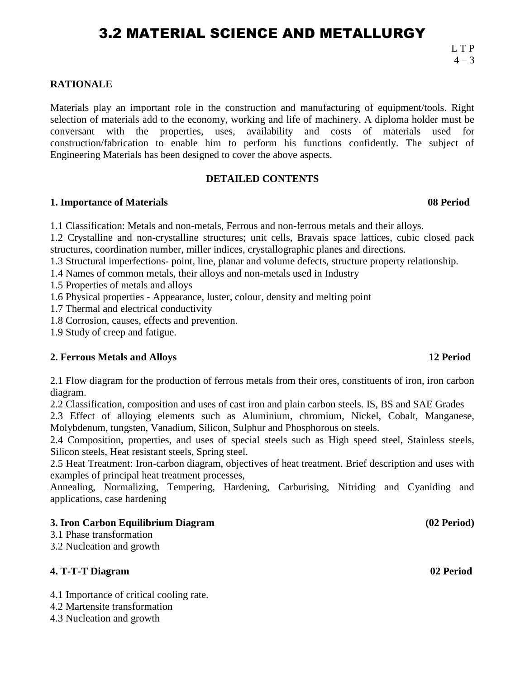# 3.2 MATERIAL SCIENCE AND METALLURGY

### **RATIONALE**

Materials play an important role in the construction and manufacturing of equipment/tools. Right selection of materials add to the economy, working and life of machinery. A diploma holder must be conversant with the properties, uses, availability and costs of materials used for construction/fabrication to enable him to perform his functions confidently. The subject of Engineering Materials has been designed to cover the above aspects.

#### **DETAILED CONTENTS**

#### **1. Importance of Materials 08 Period**

1.1 Classification: Metals and non-metals, Ferrous and non-ferrous metals and their alloys.

1.2 Crystalline and non-crystalline structures; unit cells, Bravais space lattices, cubic closed pack structures, coordination number, miller indices, crystallographic planes and directions.

1.3 Structural imperfections- point, line, planar and volume defects, structure property relationship.

1.4 Names of common metals, their alloys and non-metals used in Industry

1.5 Properties of metals and alloys

1.6 Physical properties - Appearance, luster, colour, density and melting point

1.7 Thermal and electrical conductivity

1.8 Corrosion, causes, effects and prevention.

1.9 Study of creep and fatigue.

#### **2. Ferrous Metals and Alloys 12 Period**

2.1 Flow diagram for the production of ferrous metals from their ores, constituents of iron, iron carbon diagram.

2.2 Classification, composition and uses of cast iron and plain carbon steels. IS, BS and SAE Grades

2.3 Effect of alloying elements such as Aluminium, chromium, Nickel, Cobalt, Manganese, Molybdenum, tungsten, Vanadium, Silicon, Sulphur and Phosphorous on steels.

2.4 Composition, properties, and uses of special steels such as High speed steel, Stainless steels, Silicon steels, Heat resistant steels, Spring steel.

2.5 Heat Treatment: Iron-carbon diagram, objectives of heat treatment. Brief description and uses with examples of principal heat treatment processes,

Annealing, Normalizing, Tempering, Hardening, Carburising, Nitriding and Cyaniding and applications, case hardening

#### **3. Iron Carbon Equilibrium Diagram (02 Period)**

- 3.1 Phase transformation
- 3.2 Nucleation and growth

# **4. T-T-T Diagram 02 Period**

4.1 Importance of critical cooling rate.

- 4.2 Martensite transformation
- 4.3 Nucleation and growth

 L T P  $4 - 3$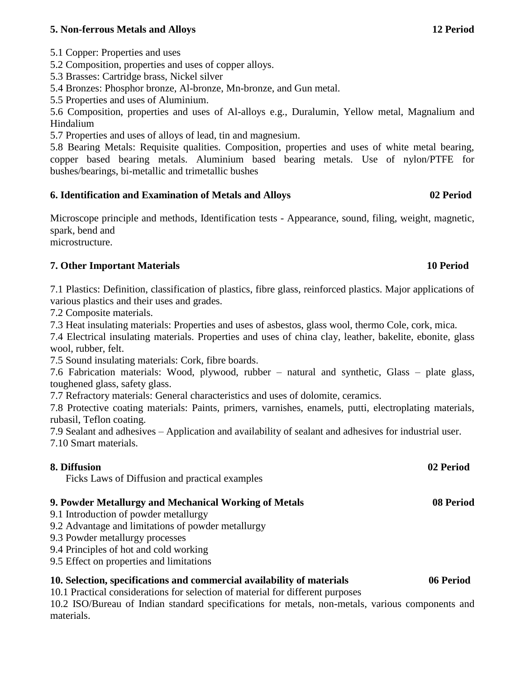### **5. Non-ferrous Metals and Alloys 12 Period**

5.1 Copper: Properties and uses

5.2 Composition, properties and uses of copper alloys.

5.3 Brasses: Cartridge brass, Nickel silver

5.4 Bronzes: Phosphor bronze, Al-bronze, Mn-bronze, and Gun metal.

5.5 Properties and uses of Aluminium.

5.6 Composition, properties and uses of Al-alloys e.g., Duralumin, Yellow metal, Magnalium and Hindalium

5.7 Properties and uses of alloys of lead, tin and magnesium.

5.8 Bearing Metals: Requisite qualities. Composition, properties and uses of white metal bearing, copper based bearing metals. Aluminium based bearing metals. Use of nylon/PTFE for bushes/bearings, bi-metallic and trimetallic bushes

### **6. Identification and Examination of Metals and Alloys 02 Period**

Microscope principle and methods, Identification tests - Appearance, sound, filing, weight, magnetic, spark, bend and

microstructure.

### **7. Other Important Materials 10 Period**

7.1 Plastics: Definition, classification of plastics, fibre glass, reinforced plastics. Major applications of various plastics and their uses and grades.

7.2 Composite materials.

7.3 Heat insulating materials: Properties and uses of asbestos, glass wool, thermo Cole, cork, mica.

7.4 Electrical insulating materials. Properties and uses of china clay, leather, bakelite, ebonite, glass wool, rubber, felt.

7.5 Sound insulating materials: Cork, fibre boards.

7.6 Fabrication materials: Wood, plywood, rubber – natural and synthetic, Glass – plate glass, toughened glass, safety glass.

7.7 Refractory materials: General characteristics and uses of dolomite, ceramics.

7.8 Protective coating materials: Paints, primers, varnishes, enamels, putti, electroplating materials, rubasil, Teflon coating.

7.9 Sealant and adhesives – Application and availability of sealant and adhesives for industrial user.

7.10 Smart materials.

### **8. Diffusion 02 Period**

Ficks Laws of Diffusion and practical examples

### **9. Powder Metallurgy and Mechanical Working of Metals 08 Period**

- 9.1 Introduction of powder metallurgy
- 9.2 Advantage and limitations of powder metallurgy
- 9.3 Powder metallurgy processes
- 9.4 Principles of hot and cold working
- 9.5 Effect on properties and limitations

### **10. Selection, specifications and commercial availability of materials 06 Period**

10.1 Practical considerations for selection of material for different purposes

10.2 ISO/Bureau of Indian standard specifications for metals, non-metals, various components and materials.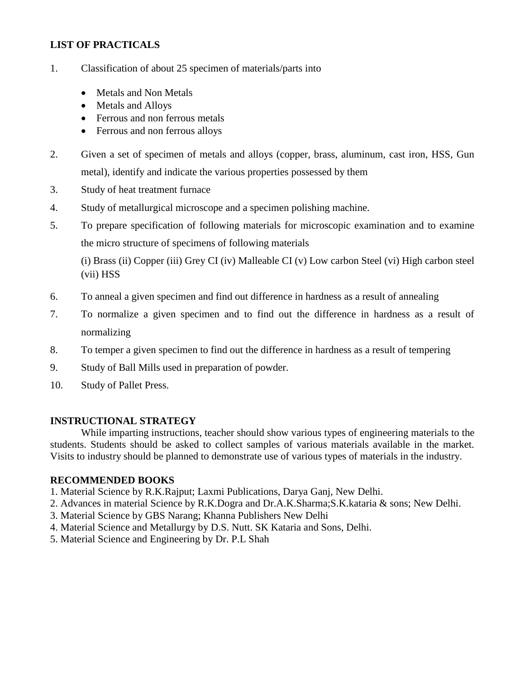# **LIST OF PRACTICALS**

- 1. Classification of about 25 specimen of materials/parts into
	- Metals and Non Metals
	- Metals and Alloys
	- Ferrous and non ferrous metals
	- Ferrous and non ferrous alloys
- 2. Given a set of specimen of metals and alloys (copper, brass, aluminum, cast iron, HSS, Gun metal), identify and indicate the various properties possessed by them
- 3. Study of heat treatment furnace
- 4. Study of metallurgical microscope and a specimen polishing machine.
- 5. To prepare specification of following materials for microscopic examination and to examine the micro structure of specimens of following materials

(i) Brass (ii) Copper (iii) Grey CI (iv) Malleable CI (v) Low carbon Steel (vi) High carbon steel (vii) HSS

- 6. To anneal a given specimen and find out difference in hardness as a result of annealing
- 7. To normalize a given specimen and to find out the difference in hardness as a result of normalizing
- 8. To temper a given specimen to find out the difference in hardness as a result of tempering
- 9. Study of Ball Mills used in preparation of powder.
- 10. Study of Pallet Press.

### **INSTRUCTIONAL STRATEGY**

While imparting instructions, teacher should show various types of engineering materials to the students. Students should be asked to collect samples of various materials available in the market. Visits to industry should be planned to demonstrate use of various types of materials in the industry.

### **RECOMMENDED BOOKS**

- 1. Material Science by R.K.Rajput; Laxmi Publications, Darya Ganj, New Delhi.
- 2. Advances in material Science by R.K.Dogra and Dr.A.K.Sharma;S.K.kataria & sons; New Delhi.
- 3. Material Science by GBS Narang; Khanna Publishers New Delhi
- 4. Material Science and Metallurgy by D.S. Nutt. SK Kataria and Sons, Delhi.
- 5. Material Science and Engineering by Dr. P.L Shah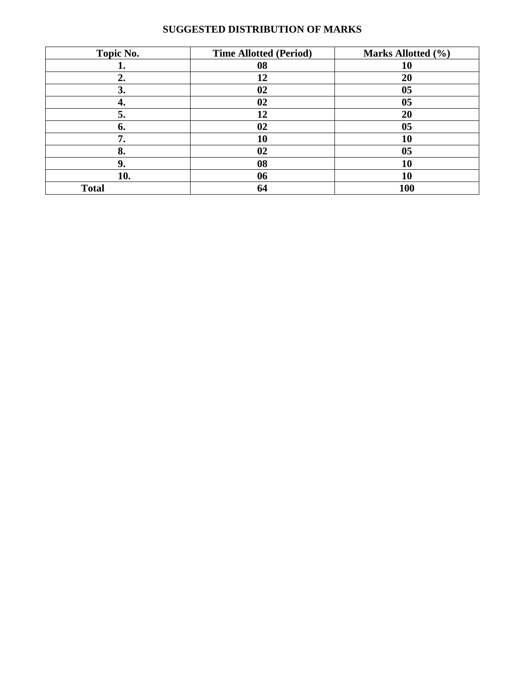| Topic No.    | <b>Time Allotted (Period)</b> | Marks Allotted (%) |
|--------------|-------------------------------|--------------------|
| ı.           | 08                            | 10                 |
| 2.           | 12                            | 20                 |
| 3.           | 02                            | 0 <sub>5</sub>     |
| 4.           | 02                            | 0 <sub>5</sub>     |
| 5.           | 12                            | 20                 |
| 6.           | 02                            | 0 <sub>5</sub>     |
| 7.           | 10                            | 10                 |
| 8.           | 02                            | 0 <sub>5</sub>     |
| 9.           | 08                            | 10                 |
| 10.          | 06                            | 10                 |
| <b>Total</b> | 64                            | 100                |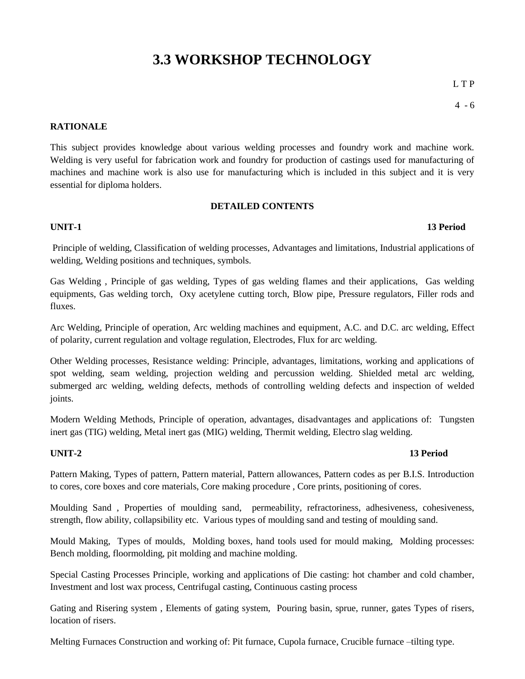# **3.3 WORKSHOP TECHNOLOGY**

L T P

 $4 - 6$ 

#### **RATIONALE**

This subject provides knowledge about various welding processes and foundry work and machine work. Welding is very useful for fabrication work and foundry for production of castings used for manufacturing of machines and machine work is also use for manufacturing which is included in this subject and it is very essential for diploma holders.

#### **DETAILED CONTENTS**

#### **UNIT-1 13 Period**

Principle of welding, Classification of welding processes, Advantages and limitations, Industrial applications of welding, Welding positions and techniques, symbols.

Gas Welding , Principle of gas welding, Types of gas welding flames and their applications, Gas welding equipments, Gas welding torch, Oxy acetylene cutting torch, Blow pipe, Pressure regulators, Filler rods and fluxes.

Arc Welding, Principle of operation, Arc welding machines and equipment, A.C. and D.C. arc welding, Effect of polarity, current regulation and voltage regulation, Electrodes, Flux for arc welding.

Other Welding processes, Resistance welding: Principle, advantages, limitations, working and applications of spot welding, seam welding, projection welding and percussion welding. Shielded metal arc welding, submerged arc welding, welding defects, methods of controlling welding defects and inspection of welded joints.

Modern Welding Methods, Principle of operation, advantages, disadvantages and applications of: Tungsten inert gas (TIG) welding, Metal inert gas (MIG) welding, Thermit welding, Electro slag welding.

#### **UNIT-2 13 Period**

Pattern Making, Types of pattern, Pattern material, Pattern allowances, Pattern codes as per B.I.S. Introduction to cores, core boxes and core materials, Core making procedure , Core prints, positioning of cores.

Moulding Sand , Properties of moulding sand, permeability, refractoriness, adhesiveness, cohesiveness, strength, flow ability, collapsibility etc. Various types of moulding sand and testing of moulding sand.

Mould Making, Types of moulds, Molding boxes, hand tools used for mould making, Molding processes: Bench molding, floormolding, pit molding and machine molding.

Special Casting Processes Principle, working and applications of Die casting: hot chamber and cold chamber, Investment and lost wax process, Centrifugal casting, Continuous casting process

Gating and Risering system , Elements of gating system, Pouring basin, sprue, runner, gates Types of risers, location of risers.

Melting Furnaces Construction and working of: Pit furnace, Cupola furnace, Crucible furnace –tilting type.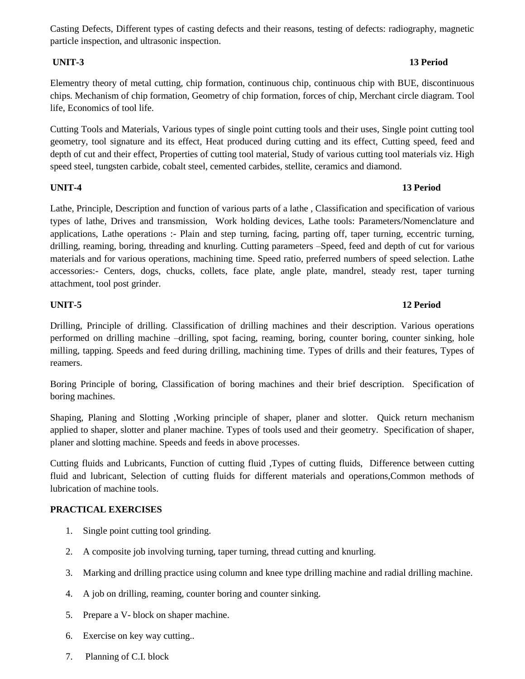Casting Defects, Different types of casting defects and their reasons, testing of defects: radiography, magnetic particle inspection, and ultrasonic inspection.

Elementry theory of metal cutting, chip formation, continuous chip, continuous chip with BUE, discontinuous chips. Mechanism of chip formation, Geometry of chip formation, forces of chip, Merchant circle diagram. Tool life, Economics of tool life.

Cutting Tools and Materials, Various types of single point cutting tools and their uses, Single point cutting tool geometry, tool signature and its effect, Heat produced during cutting and its effect, Cutting speed, feed and depth of cut and their effect, Properties of cutting tool material, Study of various cutting tool materials viz. High speed steel, tungsten carbide, cobalt steel, cemented carbides, stellite, ceramics and diamond.

#### **UNIT-4 13 Period**

Lathe, Principle, Description and function of various parts of a lathe , Classification and specification of various types of lathe, Drives and transmission, Work holding devices, Lathe tools: Parameters/Nomenclature and applications, Lathe operations :- Plain and step turning, facing, parting off, taper turning, eccentric turning, drilling, reaming, boring, threading and knurling. Cutting parameters –Speed, feed and depth of cut for various materials and for various operations, machining time. Speed ratio, preferred numbers of speed selection. Lathe accessories:- Centers, dogs, chucks, collets, face plate, angle plate, mandrel, steady rest, taper turning attachment, tool post grinder.

Drilling, Principle of drilling. Classification of drilling machines and their description. Various operations performed on drilling machine –drilling, spot facing, reaming, boring, counter boring, counter sinking, hole milling, tapping. Speeds and feed during drilling, machining time. Types of drills and their features, Types of reamers.

Boring Principle of boring, Classification of boring machines and their brief description. Specification of boring machines.

Shaping, Planing and Slotting ,Working principle of shaper, planer and slotter. Quick return mechanism applied to shaper, slotter and planer machine. Types of tools used and their geometry. Specification of shaper, planer and slotting machine. Speeds and feeds in above processes.

Cutting fluids and Lubricants, Function of cutting fluid ,Types of cutting fluids, Difference between cutting fluid and lubricant, Selection of cutting fluids for different materials and operations,Common methods of lubrication of machine tools.

### **PRACTICAL EXERCISES**

- 1. Single point cutting tool grinding.
- 2. A composite job involving turning, taper turning, thread cutting and knurling.
- 3. Marking and drilling practice using column and knee type drilling machine and radial drilling machine.
- 4. A job on drilling, reaming, counter boring and counter sinking.
- 5. Prepare a V- block on shaper machine.
- 6. Exercise on key way cutting..
- 7. Planning of C.I. block

#### **UNIT-3 13 Period**

# **UNIT-5 12 Period**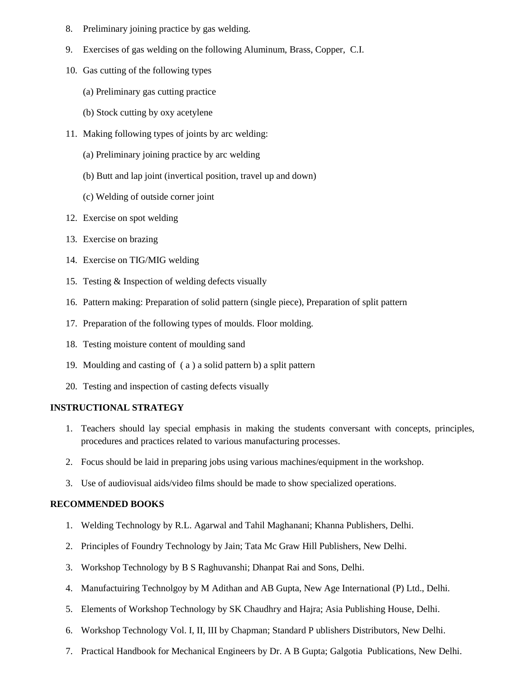- 8. Preliminary joining practice by gas welding.
- 9. Exercises of gas welding on the following Aluminum, Brass, Copper, C.I.
- 10. Gas cutting of the following types
	- (a) Preliminary gas cutting practice
	- (b) Stock cutting by oxy acetylene
- 11. Making following types of joints by arc welding:
	- (a) Preliminary joining practice by arc welding
	- (b) Butt and lap joint (invertical position, travel up and down)
	- (c) Welding of outside corner joint
- 12. Exercise on spot welding
- 13. Exercise on brazing
- 14. Exercise on TIG/MIG welding
- 15. Testing & Inspection of welding defects visually
- 16. Pattern making: Preparation of solid pattern (single piece), Preparation of split pattern
- 17. Preparation of the following types of moulds. Floor molding.
- 18. Testing moisture content of moulding sand
- 19. Moulding and casting of ( a ) a solid pattern b) a split pattern
- 20. Testing and inspection of casting defects visually

### **INSTRUCTIONAL STRATEGY**

- 1. Teachers should lay special emphasis in making the students conversant with concepts, principles, procedures and practices related to various manufacturing processes.
- 2. Focus should be laid in preparing jobs using various machines/equipment in the workshop.
- 3. Use of audiovisual aids/video films should be made to show specialized operations.

#### **RECOMMENDED BOOKS**

- 1. Welding Technology by R.L. Agarwal and Tahil Maghanani; Khanna Publishers, Delhi.
- 2. Principles of Foundry Technology by Jain; Tata Mc Graw Hill Publishers, New Delhi.
- 3. Workshop Technology by B S Raghuvanshi; Dhanpat Rai and Sons, Delhi.
- 4. Manufactuiring Technolgoy by M Adithan and AB Gupta, New Age International (P) Ltd., Delhi.
- 5. Elements of Workshop Technology by SK Chaudhry and Hajra; Asia Publishing House, Delhi.
- 6. Workshop Technology Vol. I, II, III by Chapman; Standard P ublishers Distributors, New Delhi.
- 7. Practical Handbook for Mechanical Engineers by Dr. A B Gupta; Galgotia Publications, New Delhi.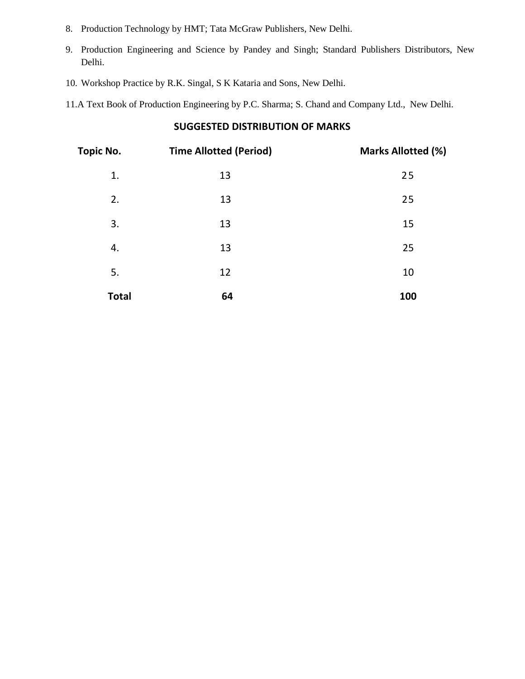- 8. Production Technology by HMT; Tata McGraw Publishers, New Delhi.
- 9. Production Engineering and Science by Pandey and Singh; Standard Publishers Distributors, New Delhi.
- 10. Workshop Practice by R.K. Singal, S K Kataria and Sons, New Delhi.
- 11.A Text Book of Production Engineering by P.C. Sharma; S. Chand and Company Ltd., New Delhi.

| Topic No.    | <b>Time Allotted (Period)</b> | <b>Marks Allotted (%)</b> |
|--------------|-------------------------------|---------------------------|
| 1.           | 13                            | 25                        |
| 2.           | 13                            | 25                        |
| 3.           | 13                            | 15                        |
| 4.           | 13                            | 25                        |
| 5.           | 12                            | 10                        |
| <b>Total</b> | 64                            | <b>100</b>                |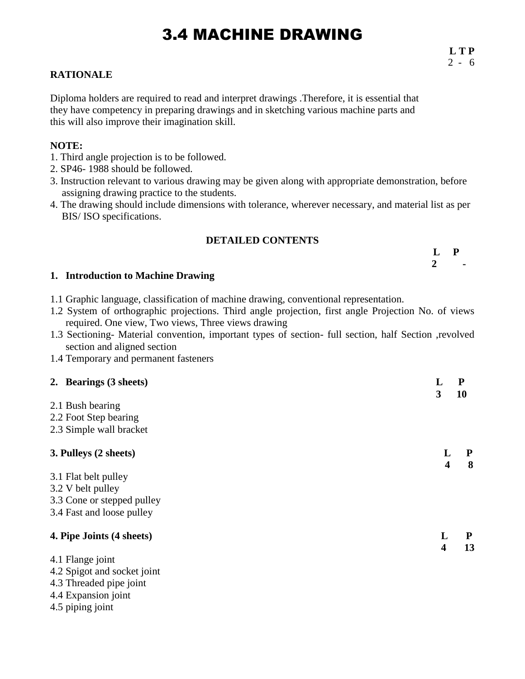# 3.4 MACHINE DRAWING

### **RATIONALE**

Diploma holders are required to read and interpret drawings .Therefore, it is essential that they have competency in preparing drawings and in sketching various machine parts and this will also improve their imagination skill.

#### **NOTE:**

- 1. Third angle projection is to be followed.
- 2. SP46- 1988 should be followed.
- 3. Instruction relevant to various drawing may be given along with appropriate demonstration, before assigning drawing practice to the students.
- 4. The drawing should include dimensions with tolerance, wherever necessary, and material list as per BIS/ ISO specifications.

### **DETAILED CONTENTS**

| ப      | $L$ P | . . |
|--------|-------|-----|
| $\sim$ |       |     |

**2 -**

### **1. Introduction to Machine Drawing**

- 1.1 Graphic language, classification of machine drawing, conventional representation.
- 1.2 System of orthographic projections. Third angle projection, first angle Projection No. of views required. One view, Two views, Three views drawing
- 1.3 Sectioning- Material convention, important types of section- full section, half Section ,revolved section and aligned section
- 1.4 Temporary and permanent fasteners

| 2. Bearings (3 sheets)      | L                       | ${\bf P}$ |
|-----------------------------|-------------------------|-----------|
|                             | 3                       | 10        |
| 2.1 Bush bearing            |                         |           |
| 2.2 Foot Step bearing       |                         |           |
| 2.3 Simple wall bracket     |                         |           |
| 3. Pulleys (2 sheets)       |                         | P         |
|                             | $\overline{\mathbf{4}}$ | 8         |
| 3.1 Flat belt pulley        |                         |           |
| 3.2 V belt pulley           |                         |           |
| 3.3 Cone or stepped pulley  |                         |           |
| 3.4 Fast and loose pulley   |                         |           |
| 4. Pipe Joints (4 sheets)   | L                       |           |
|                             | $\overline{\mathbf{4}}$ | 13        |
| 4.1 Flange joint            |                         |           |
| 4.2 Spigot and socket joint |                         |           |
| 4.3 Threaded pipe joint     |                         |           |
| 4.4 Expansion joint         |                         |           |
| 4.5 piping joint            |                         |           |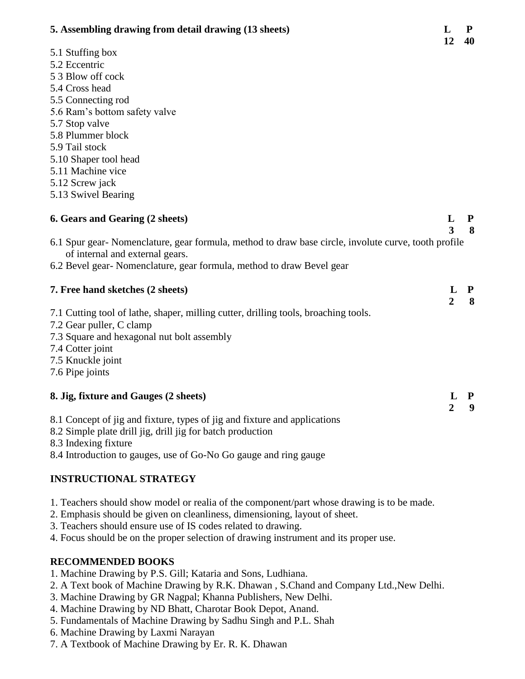| 5. Assembling drawing from detail drawing (15 sheets)                                               | ப<br>12             | r.<br>40          |
|-----------------------------------------------------------------------------------------------------|---------------------|-------------------|
| 5.1 Stuffing box                                                                                    |                     |                   |
| 5.2 Eccentric                                                                                       |                     |                   |
| 5 3 Blow off cock                                                                                   |                     |                   |
| 5.4 Cross head                                                                                      |                     |                   |
| 5.5 Connecting rod                                                                                  |                     |                   |
| 5.6 Ram's bottom safety valve                                                                       |                     |                   |
| 5.7 Stop valve                                                                                      |                     |                   |
| 5.8 Plummer block                                                                                   |                     |                   |
| 5.9 Tail stock                                                                                      |                     |                   |
| 5.10 Shaper tool head                                                                               |                     |                   |
| 5.11 Machine vice                                                                                   |                     |                   |
| 5.12 Screw jack                                                                                     |                     |                   |
| 5.13 Swivel Bearing                                                                                 |                     |                   |
| 6. Gears and Gearing (2 sheets)                                                                     | L                   | $\mathbf{P}$      |
|                                                                                                     | 3                   | 8                 |
| 6.1 Spur gear-Nomenclature, gear formula, method to draw base circle, involute curve, tooth profile |                     |                   |
| of internal and external gears.                                                                     |                     |                   |
| 6.2 Bevel gear- Nomenclature, gear formula, method to draw Bevel gear                               |                     |                   |
| 7. Free hand sketches (2 sheets)                                                                    | L<br>$\overline{2}$ | $\mathbf{P}$<br>8 |
| 7.1 Cutting tool of lathe, shaper, milling cutter, drilling tools, broaching tools.                 |                     |                   |
| 7.2 Gear puller, C clamp                                                                            |                     |                   |
| 7.3 Square and hexagonal nut bolt assembly                                                          |                     |                   |
| 7.4 Cotter joint                                                                                    |                     |                   |
| 7.5 Knuckle joint                                                                                   |                     |                   |
| 7.6 Pipe joints                                                                                     |                     |                   |
|                                                                                                     |                     |                   |
| 8. Jig, fixture and Gauges (2 sheets)                                                               | L                   | P                 |
|                                                                                                     | $\overline{2}$      | 9                 |
| 8.1 Concept of jig and fixture, types of jig and fixture and applications                           |                     |                   |
| 8.2 Simple plate drill jig, drill jig for batch production<br>8.3 Indexing fixture                  |                     |                   |
| 8.4 Introduction to gauges, use of Go-No Go gauge and ring gauge                                    |                     |                   |
|                                                                                                     |                     |                   |
| <b>INSTRUCTIONAL STRATEGY</b>                                                                       |                     |                   |
|                                                                                                     |                     |                   |

 $\mathbf{F}$  **5.**  $\mathbf{F}$  **5.**  $\mathbf{F}$  **5.**  $\mathbf{F}$ 

- 1. Teachers should show model or realia of the component/part whose drawing is to be made.
- 2. Emphasis should be given on cleanliness, dimensioning, layout of sheet.
- 3. Teachers should ensure use of IS codes related to drawing.
- 4. Focus should be on the proper selection of drawing instrument and its proper use.

# **RECOMMENDED BOOKS**

- 1. Machine Drawing by P.S. Gill; Kataria and Sons, Ludhiana.
- 2. A Text book of Machine Drawing by R.K. Dhawan , S.Chand and Company Ltd.,New Delhi.
- 3. Machine Drawing by GR Nagpal; Khanna Publishers, New Delhi.
- 4. Machine Drawing by ND Bhatt, Charotar Book Depot, Anand.
- 5. Fundamentals of Machine Drawing by Sadhu Singh and P.L. Shah
- 6. Machine Drawing by Laxmi Narayan
- 7. A Textbook of Machine Drawing by Er. R. K. Dhawan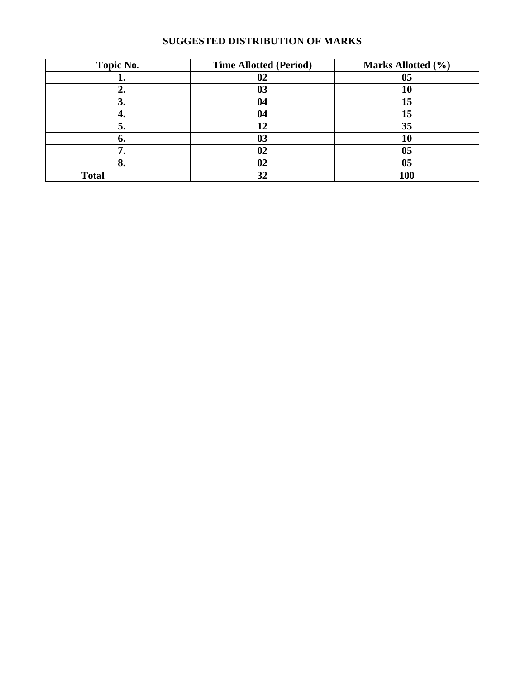| Topic No.    | <b>Time Allotted (Period)</b> | Marks Allotted (%) |
|--------------|-------------------------------|--------------------|
|              | 02                            | 05                 |
|              | 03                            | 10                 |
| J.           |                               | 15                 |
|              | 04                            | 15                 |
| э.           | 12                            | 35                 |
| O.           |                               | 10                 |
|              | 02                            | 05                 |
| О.           | 02                            | 05                 |
| <b>Total</b> | 32                            | 100                |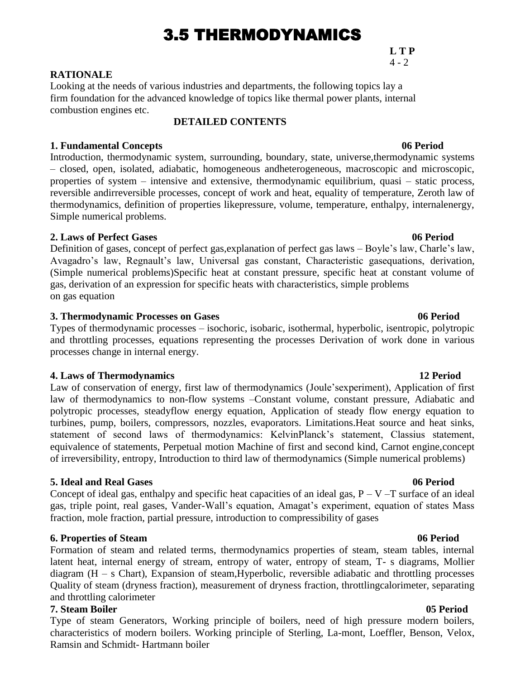# 3.5 THERMODYNAMICS

**L T P**  $4 - 2$ 

#### **RATIONALE**

Looking at the needs of various industries and departments, the following topics lay a firm foundation for the advanced knowledge of topics like thermal power plants, internal combustion engines etc.

#### **DETAILED CONTENTS**

#### **1. Fundamental Concepts 06 Period**

Introduction, thermodynamic system, surrounding, boundary, state, universe,thermodynamic systems – closed, open, isolated, adiabatic, homogeneous andheterogeneous, macroscopic and microscopic, properties of system – intensive and extensive, thermodynamic equilibrium, quasi – static process, reversible andirreversible processes, concept of work and heat, equality of temperature, Zeroth law of thermodynamics, definition of properties likepressure, volume, temperature, enthalpy, internalenergy, Simple numerical problems.

#### **2. Laws of Perfect Gases 06 Period**

Definition of gases, concept of perfect gas,explanation of perfect gas laws – Boyle's law, Charle's law, Avagadro's law, Regnault's law, Universal gas constant, Characteristic gasequations, derivation, (Simple numerical problems)Specific heat at constant pressure, specific heat at constant volume of gas, derivation of an expression for specific heats with characteristics, simple problems on gas equation

#### **3. Thermodynamic Processes on Gases 06 Period**

Types of thermodynamic processes – isochoric, isobaric, isothermal, hyperbolic, isentropic, polytropic and throttling processes, equations representing the processes Derivation of work done in various processes change in internal energy.

#### **4. Laws of Thermodynamics 12 Period**

Law of conservation of energy, first law of thermodynamics (Joule'sexperiment), Application of first law of thermodynamics to non-flow systems –Constant volume, constant pressure, Adiabatic and polytropic processes, steadyflow energy equation, Application of steady flow energy equation to turbines, pump, boilers, compressors, nozzles, evaporators. Limitations.Heat source and heat sinks, statement of second laws of thermodynamics: KelvinPlanck's statement, Classius statement, equivalence of statements, Perpetual motion Machine of first and second kind, Carnot engine,concept of irreversibility, entropy, Introduction to third law of thermodynamics (Simple numerical problems)

#### **5. Ideal and Real Gases 06 Period**

Concept of ideal gas, enthalpy and specific heat capacities of an ideal gas,  $P - V - T$  surface of an ideal gas, triple point, real gases, Vander-Wall's equation, Amagat's experiment, equation of states Mass fraction, mole fraction, partial pressure, introduction to compressibility of gases

#### **6. Properties of Steam 06 Period**

Formation of steam and related terms, thermodynamics properties of steam, steam tables, internal latent heat, internal energy of stream, entropy of water, entropy of steam, T- s diagrams, Mollier diagram (H – s Chart), Expansion of steam,Hyperbolic, reversible adiabatic and throttling processes Quality of steam (dryness fraction), measurement of dryness fraction, throttlingcalorimeter, separating and throttling calorimeter

#### **7. Steam Boiler 05 Period**

Type of steam Generators, Working principle of boilers, need of high pressure modern boilers, characteristics of modern boilers. Working principle of Sterling, La-mont, Loeffler, Benson, Velox, Ramsin and Schmidt- Hartmann boiler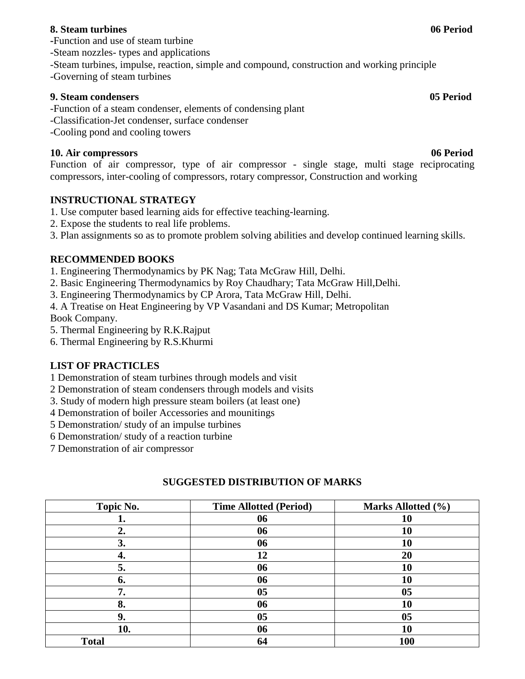### **8. Steam turbines 06 Period**

**-**Function and use of steam turbine

- -Steam nozzles- types and applications
- -Steam turbines, impulse, reaction, simple and compound, construction and working principle

-Governing of steam turbines

### **9. Steam condensers 05 Period**

-Function of a steam condenser, elements of condensing plant

- -Classification-Jet condenser, surface condenser
- -Cooling pond and cooling towers

# **10. Air compressors 06 Period**

Function of air compressor, type of air compressor - single stage, multi stage reciprocating compressors, inter-cooling of compressors, rotary compressor, Construction and working

# **INSTRUCTIONAL STRATEGY**

- 1. Use computer based learning aids for effective teaching-learning.
- 2. Expose the students to real life problems.
- 3. Plan assignments so as to promote problem solving abilities and develop continued learning skills.

# **RECOMMENDED BOOKS**

- 1. Engineering Thermodynamics by PK Nag; Tata McGraw Hill, Delhi.
- 2. Basic Engineering Thermodynamics by Roy Chaudhary; Tata McGraw Hill,Delhi.
- 3. Engineering Thermodynamics by CP Arora, Tata McGraw Hill, Delhi.

4. A Treatise on Heat Engineering by VP Vasandani and DS Kumar; Metropolitan Book Company.

5. Thermal Engineering by R.K.Rajput

6. Thermal Engineering by R.S.Khurmi

# **LIST OF PRACTICLES**

1 Demonstration of steam turbines through models and visit

- 2 Demonstration of steam condensers through models and visits
- 3. Study of modern high pressure steam boilers (at least one)
- 4 Demonstration of boiler Accessories and mounitings
- 5 Demonstration/ study of an impulse turbines
- 6 Demonstration/ study of a reaction turbine
- 7 Demonstration of air compressor

| Topic No.    | <b>Time Allotted (Period)</b> | Marks Allotted (%) |
|--------------|-------------------------------|--------------------|
|              | 06                            | 10                 |
| 2.           | 06                            | 10                 |
| 3.           | 06                            | 10                 |
|              | 12                            | 20                 |
| 5.           | 06                            | 10                 |
| 6.           | 06                            | 10                 |
| 7.           | 0 <sub>5</sub>                | 05                 |
| 8.           | 06                            | 10                 |
| 9.           | 05                            | 05                 |
| 10.          | 06                            | 10                 |
| <b>Total</b> | 64                            | <b>100</b>         |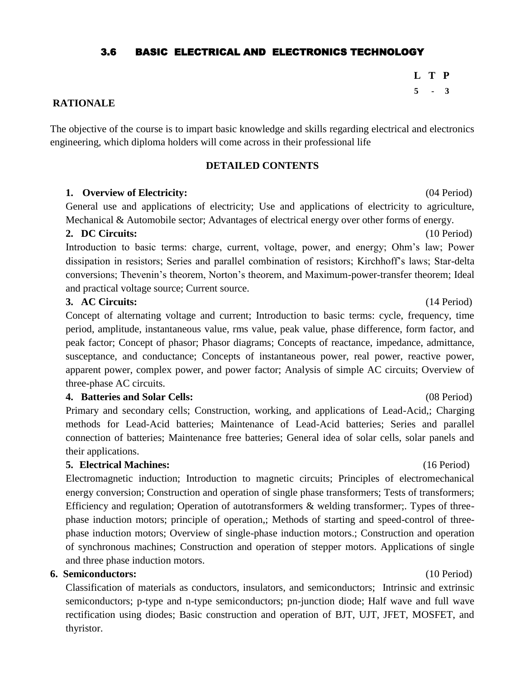### 3.6 BASIC ELECTRICAL AND ELECTRONICS TECHNOLOGY

**L T P 5 - 3**

#### **RATIONALE**

The objective of the course is to impart basic knowledge and skills regarding electrical and electronics engineering, which diploma holders will come across in their professional life

#### **DETAILED CONTENTS**

#### **1. Overview of Electricity:** (04 Period)

General use and applications of electricity; Use and applications of electricity to agriculture, Mechanical & Automobile sector; Advantages of electrical energy over other forms of energy.

#### **2. DC Circuits:** (10 Period)

Introduction to basic terms: charge, current, voltage, power, and energy; Ohm's law; Power dissipation in resistors; Series and parallel combination of resistors; Kirchhoff's laws; Star-delta conversions; Thevenin's theorem, Norton's theorem, and Maximum-power-transfer theorem; Ideal and practical voltage source; Current source.

#### **3. AC Circuits:** (14 Period)

Concept of alternating voltage and current; Introduction to basic terms: cycle, frequency, time period, amplitude, instantaneous value, rms value, peak value, phase difference, form factor, and peak factor; Concept of phasor; Phasor diagrams; Concepts of reactance, impedance, admittance, susceptance, and conductance; Concepts of instantaneous power, real power, reactive power, apparent power, complex power, and power factor; Analysis of simple AC circuits; Overview of three-phase AC circuits.

#### **4. Batteries and Solar Cells:** (08 Period)

Primary and secondary cells; Construction, working, and applications of Lead-Acid,; Charging methods for Lead-Acid batteries; Maintenance of Lead-Acid batteries; Series and parallel connection of batteries; Maintenance free batteries; General idea of solar cells, solar panels and their applications.

#### **5. Electrical Machines:** (16 Period)

Electromagnetic induction; Introduction to magnetic circuits; Principles of electromechanical energy conversion; Construction and operation of single phase transformers; Tests of transformers; Efficiency and regulation; Operation of autotransformers & welding transformer;. Types of threephase induction motors; principle of operation,; Methods of starting and speed-control of threephase induction motors; Overview of single-phase induction motors.; Construction and operation of synchronous machines; Construction and operation of stepper motors. Applications of single and three phase induction motors.

### **6. Semiconductors:** (10 Period)

Classification of materials as conductors, insulators, and semiconductors; Intrinsic and extrinsic semiconductors; p-type and n-type semiconductors; pn-junction diode; Half wave and full wave rectification using diodes; Basic construction and operation of BJT, UJT, JFET, MOSFET, and thyristor.